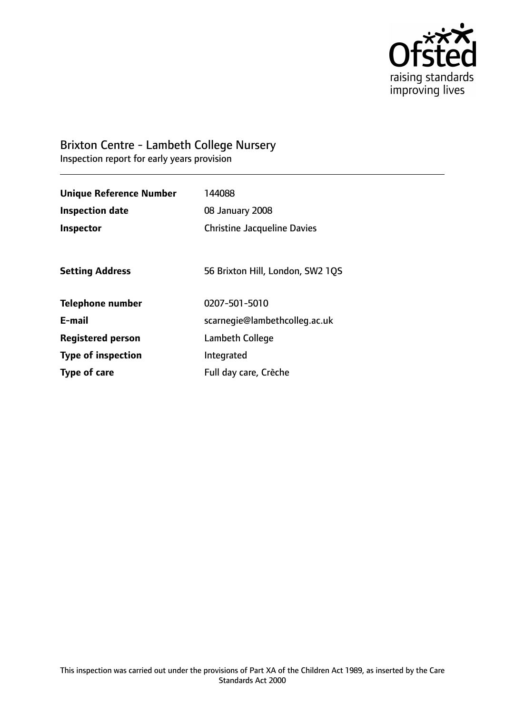

# Brixton Centre - Lambeth College Nursery

Inspection report for early years provision

| <b>Unique Reference Number</b> | 144088                             |
|--------------------------------|------------------------------------|
| <b>Inspection date</b>         | 08 January 2008                    |
| <b>Inspector</b>               | <b>Christine Jacqueline Davies</b> |
|                                |                                    |
| <b>Setting Address</b>         | 56 Brixton Hill, London, SW2 1QS   |
| <b>Telephone number</b>        | 0207-501-5010                      |
| E-mail                         | scarnegie@lambethcolleg.ac.uk      |
| <b>Registered person</b>       | Lambeth College                    |
| <b>Type of inspection</b>      | Integrated                         |
| Type of care                   | Full day care, Crèche              |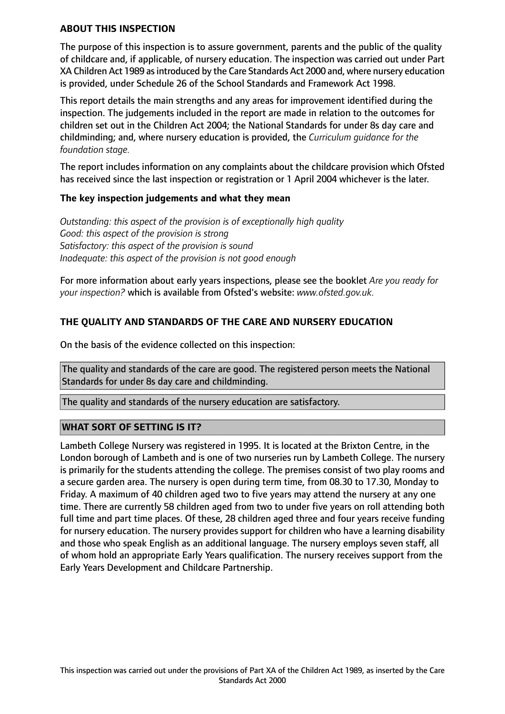#### **ABOUT THIS INSPECTION**

The purpose of this inspection is to assure government, parents and the public of the quality of childcare and, if applicable, of nursery education. The inspection was carried out under Part XA Children Act 1989 asintroduced by the Care Standards Act 2000 and, where nursery education is provided, under Schedule 26 of the School Standards and Framework Act 1998.

This report details the main strengths and any areas for improvement identified during the inspection. The judgements included in the report are made in relation to the outcomes for children set out in the Children Act 2004; the National Standards for under 8s day care and childminding; and, where nursery education is provided, the *Curriculum guidance for the foundation stage.*

The report includes information on any complaints about the childcare provision which Ofsted has received since the last inspection or registration or 1 April 2004 whichever is the later.

#### **The key inspection judgements and what they mean**

*Outstanding: this aspect of the provision is of exceptionally high quality Good: this aspect of the provision is strong Satisfactory: this aspect of the provision is sound Inadequate: this aspect of the provision is not good enough*

For more information about early years inspections, please see the booklet *Are you ready for your inspection?* which is available from Ofsted's website: *www.ofsted.gov.uk.*

### **THE QUALITY AND STANDARDS OF THE CARE AND NURSERY EDUCATION**

On the basis of the evidence collected on this inspection:

The quality and standards of the care are good. The registered person meets the National Standards for under 8s day care and childminding.

The quality and standards of the nursery education are satisfactory.

#### **WHAT SORT OF SETTING IS IT?**

Lambeth College Nursery was registered in 1995. It is located at the Brixton Centre, in the London borough of Lambeth and is one of two nurseries run by Lambeth College. The nursery is primarily for the students attending the college. The premises consist of two play rooms and a secure garden area. The nursery is open during term time, from 08.30 to 17.30, Monday to Friday. A maximum of 40 children aged two to five years may attend the nursery at any one time. There are currently 58 children aged from two to under five years on roll attending both full time and part time places. Of these, 28 children aged three and four years receive funding for nursery education. The nursery provides support for children who have a learning disability and those who speak English as an additional language. The nursery employs seven staff, all of whom hold an appropriate Early Years qualification. The nursery receives support from the Early Years Development and Childcare Partnership.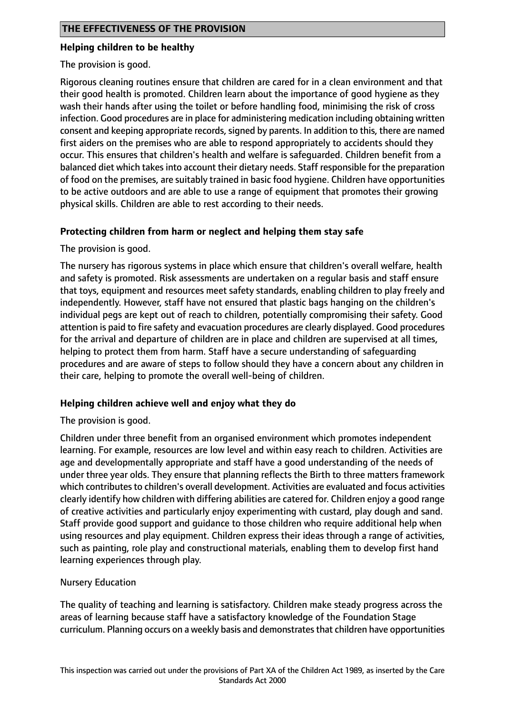#### **Helping children to be healthy**

The provision is good.

Rigorous cleaning routines ensure that children are cared for in a clean environment and that their good health is promoted. Children learn about the importance of good hygiene as they wash their hands after using the toilet or before handling food, minimising the risk of cross infection. Good procedures are in place for administering medication including obtaining written consent and keeping appropriate records, signed by parents. In addition to this, there are named first aiders on the premises who are able to respond appropriately to accidents should they occur. This ensures that children's health and welfare is safeguarded. Children benefit from a balanced diet which takesinto account their dietary needs. Staff responsible for the preparation of food on the premises, are suitably trained in basic food hygiene. Children have opportunities to be active outdoors and are able to use a range of equipment that promotes their growing physical skills. Children are able to rest according to their needs.

### **Protecting children from harm or neglect and helping them stay safe**

The provision is good.

The nursery has rigorous systems in place which ensure that children's overall welfare, health and safety is promoted. Risk assessments are undertaken on a regular basis and staff ensure that toys, equipment and resources meet safety standards, enabling children to play freely and independently. However, staff have not ensured that plastic bags hanging on the children's individual pegs are kept out of reach to children, potentially compromising their safety. Good attention is paid to fire safety and evacuation procedures are clearly displayed. Good procedures for the arrival and departure of children are in place and children are supervised at all times, helping to protect them from harm. Staff have a secure understanding of safeguarding procedures and are aware of steps to follow should they have a concern about any children in their care, helping to promote the overall well-being of children.

### **Helping children achieve well and enjoy what they do**

The provision is good.

Children under three benefit from an organised environment which promotes independent learning. For example, resources are low level and within easy reach to children. Activities are age and developmentally appropriate and staff have a good understanding of the needs of under three year olds. They ensure that planning reflects the Birth to three matters framework which contributes to children's overall development. Activities are evaluated and focus activities clearly identify how children with differing abilities are catered for. Children enjoy a good range of creative activities and particularly enjoy experimenting with custard, play dough and sand. Staff provide good support and guidance to those children who require additional help when using resources and play equipment. Children express their ideas through a range of activities, such as painting, role play and constructional materials, enabling them to develop first hand learning experiences through play.

### Nursery Education

The quality of teaching and learning is satisfactory. Children make steady progress across the areas of learning because staff have a satisfactory knowledge of the Foundation Stage curriculum. Planning occurs on a weekly basis and demonstratesthat children have opportunities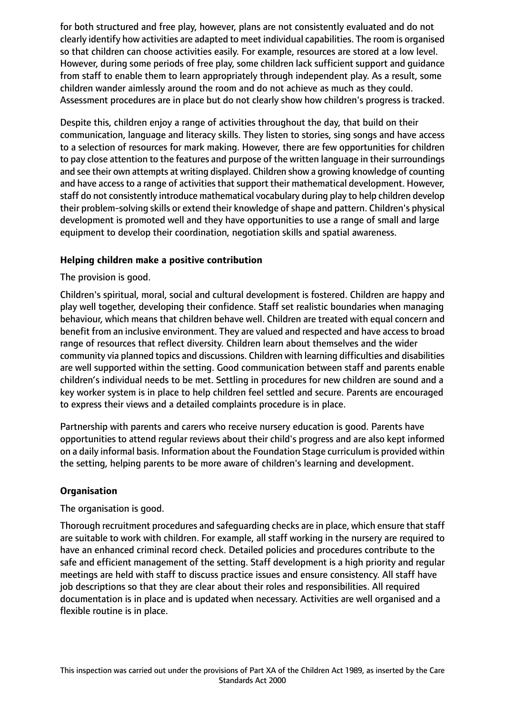for both structured and free play, however, plans are not consistently evaluated and do not clearly identify how activities are adapted to meet individual capabilities. The room is organised so that children can choose activities easily. For example, resources are stored at a low level. However, during some periods of free play, some children lack sufficient support and guidance from staff to enable them to learn appropriately through independent play. As a result, some children wander aimlessly around the room and do not achieve as much as they could. Assessment procedures are in place but do not clearly show how children's progress is tracked.

Despite this, children enjoy a range of activities throughout the day, that build on their communication, language and literacy skills. They listen to stories, sing songs and have access to a selection of resources for mark making. However, there are few opportunities for children to pay close attention to the features and purpose of the written language in their surroundings and see their own attempts at writing displayed. Children show a growing knowledge of counting and have access to a range of activities that support their mathematical development. However, staff do not consistently introduce mathematical vocabulary during play to help children develop their problem-solving skills or extend their knowledge of shape and pattern. Children's physical development is promoted well and they have opportunities to use a range of small and large equipment to develop their coordination, negotiation skills and spatial awareness.

### **Helping children make a positive contribution**

The provision is good.

Children's spiritual, moral, social and cultural development is fostered. Children are happy and play well together, developing their confidence. Staff set realistic boundaries when managing behaviour, which means that children behave well. Children are treated with equal concern and benefit from an inclusive environment. They are valued and respected and have access to broad range of resources that reflect diversity. Children learn about themselves and the wider community via planned topics and discussions. Children with learning difficulties and disabilities are well supported within the setting. Good communication between staff and parents enable children's individual needs to be met. Settling in procedures for new children are sound and a key worker system is in place to help children feel settled and secure. Parents are encouraged to express their views and a detailed complaints procedure is in place.

Partnership with parents and carers who receive nursery education is good. Parents have opportunities to attend regular reviews about their child's progress and are also kept informed on a daily informal basis. Information about the Foundation Stage curriculum is provided within the setting, helping parents to be more aware of children's learning and development.

### **Organisation**

The organisation is good.

Thorough recruitment procedures and safeguarding checks are in place, which ensure that staff are suitable to work with children. For example, all staff working in the nursery are required to have an enhanced criminal record check. Detailed policies and procedures contribute to the safe and efficient management of the setting. Staff development is a high priority and regular meetings are held with staff to discuss practice issues and ensure consistency. All staff have job descriptions so that they are clear about their roles and responsibilities. All required documentation is in place and is updated when necessary. Activities are well organised and a flexible routine is in place.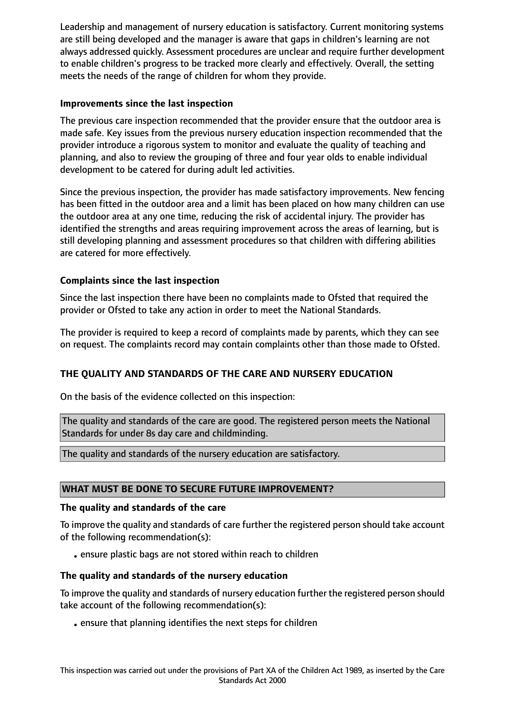Leadership and management of nursery education is satisfactory. Current monitoring systems are still being developed and the manager is aware that gaps in children's learning are not always addressed quickly. Assessment procedures are unclear and require further development to enable children's progress to be tracked more clearly and effectively. Overall, the setting meets the needs of the range of children for whom they provide.

## **Improvements since the last inspection**

The previous care inspection recommended that the provider ensure that the outdoor area is made safe. Key issues from the previous nursery education inspection recommended that the provider introduce a rigorous system to monitor and evaluate the quality of teaching and planning, and also to review the grouping of three and four year olds to enable individual development to be catered for during adult led activities.

Since the previous inspection, the provider has made satisfactory improvements. New fencing has been fitted in the outdoor area and a limit has been placed on how many children can use the outdoor area at any one time, reducing the risk of accidental injury. The provider has identified the strengths and areas requiring improvement across the areas of learning, but is still developing planning and assessment procedures so that children with differing abilities are catered for more effectively.

## **Complaints since the last inspection**

Since the last inspection there have been no complaints made to Ofsted that required the provider or Ofsted to take any action in order to meet the National Standards.

The provider is required to keep a record of complaints made by parents, which they can see on request. The complaints record may contain complaints other than those made to Ofsted.

## **THE QUALITY AND STANDARDS OF THE CARE AND NURSERY EDUCATION**

On the basis of the evidence collected on this inspection:

The quality and standards of the care are good. The registered person meets the National Standards for under 8s day care and childminding.

The quality and standards of the nursery education are satisfactory.

### **WHAT MUST BE DONE TO SECURE FUTURE IMPROVEMENT?**

### **The quality and standards of the care**

To improve the quality and standards of care further the registered person should take account of the following recommendation(s):

• ensure plastic bags are not stored within reach to children

### **The quality and standards of the nursery education**

To improve the quality and standards of nursery education further the registered person should take account of the following recommendation(s):

•ensure that planning identifies the next steps for children